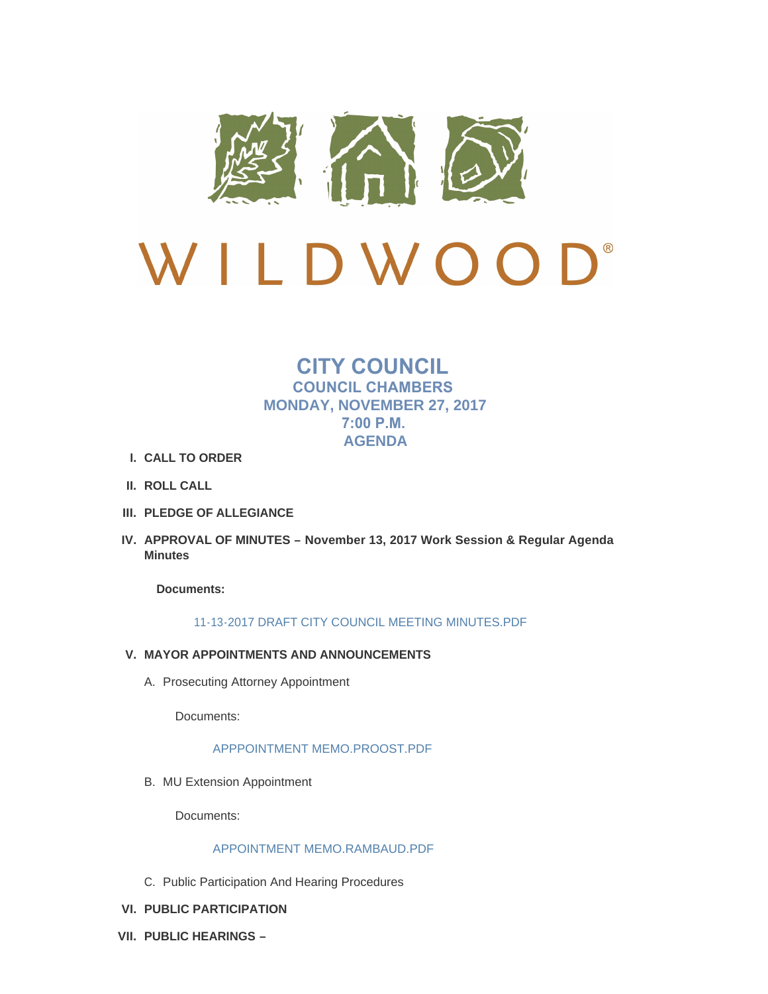

# $\bigcup$ <sup>®</sup> W I LDWOO

## **CITY COUNCIL COUNCIL CHAMBERS MONDAY, NOVEMBER 27, 2017 7:00 P.M. AGENDA**

- **CALL TO ORDER I.**
- **ROLL CALL II.**
- **PLEDGE OF ALLEGIANCE III.**
- **APPROVAL OF MINUTES – November 13, 2017 Work Session & Regular Agenda IV. Minutes**

**Documents:**

## [11-13-2017 DRAFT CITY COUNCIL MEETING MINUTES.PDF](http://mo-wildwood.civicplus.com/AgendaCenter/ViewFile/Item/13186?fileID=19028)

- **MAYOR APPOINTMENTS AND ANNOUNCEMENTS V.**
	- A. Prosecuting Attorney Appointment

Documents:

[APPPOINTMENT MEMO.PROOST.PDF](http://mo-wildwood.civicplus.com/AgendaCenter/ViewFile/Item/13213?fileID=19043)

B. MU Extension Appointment

Documents:

## [APPOINTMENT MEMO.RAMBAUD.PDF](http://mo-wildwood.civicplus.com/AgendaCenter/ViewFile/Item/13215?fileID=19045)

- C. Public Participation And Hearing Procedures
- **PUBLIC PARTICIPATION VI.**
- **PUBLIC HEARINGS – VII.**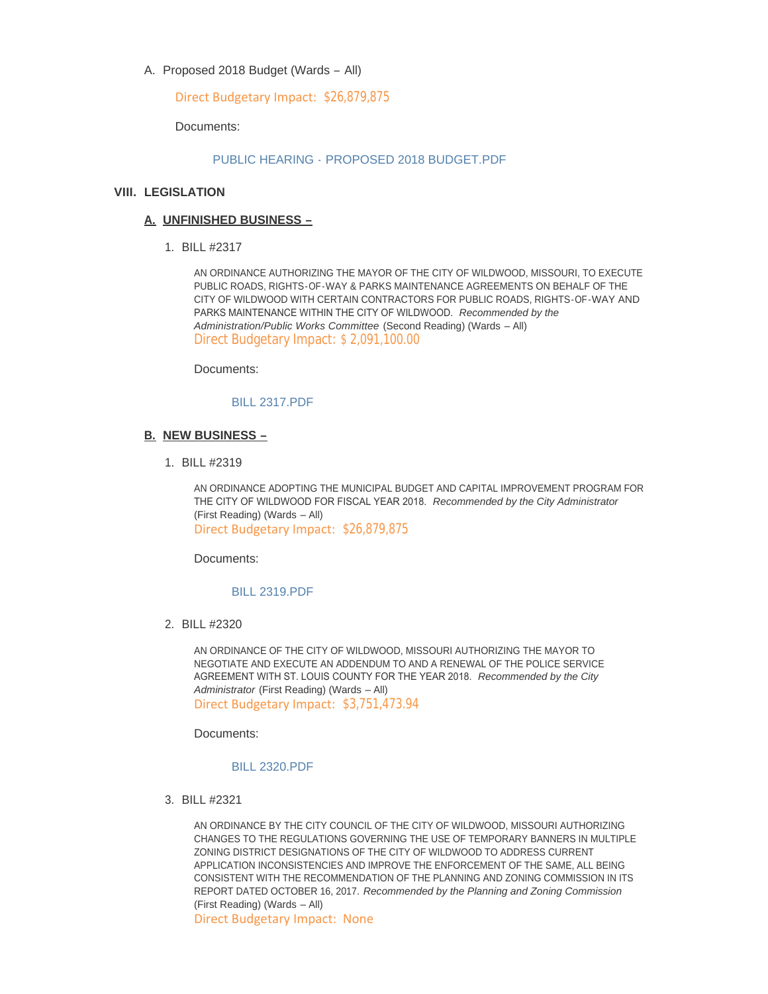A. Proposed 2018 Budget (Wards - All)

Direct Budgetary Impact: \$26,879,875

Documents:

## PUBLIC HEARING - [PROPOSED 2018 BUDGET.PDF](http://mo-wildwood.civicplus.com/AgendaCenter/ViewFile/Item/13193?fileID=19029)

## **LEGISLATION VIII.**

## **UNFINISHED BUSINESS – A.**

BILL #2317 1.

AN ORDINANCE AUTHORIZING THE MAYOR OF THE CITY OF WILDWOOD, MISSOURI, TO EXECUTE PUBLIC ROADS, RIGHTS-OF-WAY & PARKS MAINTENANCE AGREEMENTS ON BEHALF OF THE CITY OF WILDWOOD WITH CERTAIN CONTRACTORS FOR PUBLIC ROADS, RIGHTS-OF-WAY AND PARKS MAINTENANCE WITHIN THE CITY OF WILDWOOD. *Recommended by the Administration/Public Works Committee* (Second Reading) (Wards – All) Direct Budgetary Impact: \$ 2,091,100.00

Documents:

## [BILL 2317.PDF](http://mo-wildwood.civicplus.com/AgendaCenter/ViewFile/Item/13196?fileID=19030)

#### **NEW BUSINESS – B.**

BILL #2319 1.

AN ORDINANCE ADOPTING THE MUNICIPAL BUDGET AND CAPITAL IMPROVEMENT PROGRAM FOR THE CITY OF WILDWOOD FOR FISCAL YEAR 2018. *Recommended by the City Administrator*  (First Reading) (Wards – All) Direct Budgetary Impact: \$26,879,875

Documents:

#### [BILL 2319.PDF](http://mo-wildwood.civicplus.com/AgendaCenter/ViewFile/Item/13198?fileID=19031)

BILL #2320 2.

AN ORDINANCE OF THE CITY OF WILDWOOD, MISSOURI AUTHORIZING THE MAYOR TO NEGOTIATE AND EXECUTE AN ADDENDUM TO AND A RENEWAL OF THE POLICE SERVICE AGREEMENT WITH ST. LOUIS COUNTY FOR THE YEAR 2018. *Recommended by the City Administrator* (First Reading) (Wards – All) Direct Budgetary Impact: \$3,751,473.94

Documents:

## [BILL 2320.PDF](http://mo-wildwood.civicplus.com/AgendaCenter/ViewFile/Item/13199?fileID=19032)

BILL #2321 3.

AN ORDINANCE BY THE CITY COUNCIL OF THE CITY OF WILDWOOD, MISSOURI AUTHORIZING CHANGES TO THE REGULATIONS GOVERNING THE USE OF TEMPORARY BANNERS IN MULTIPLE ZONING DISTRICT DESIGNATIONS OF THE CITY OF WILDWOOD TO ADDRESS CURRENT APPLICATION INCONSISTENCIES AND IMPROVE THE ENFORCEMENT OF THE SAME, ALL BEING CONSISTENT WITH THE RECOMMENDATION OF THE PLANNING AND ZONING COMMISSION IN ITS REPORT DATED OCTOBER 16, 2017. *Recommended by the Planning and Zoning Commission*  (First Reading) (Wards – All)

Direct Budgetary Impact: None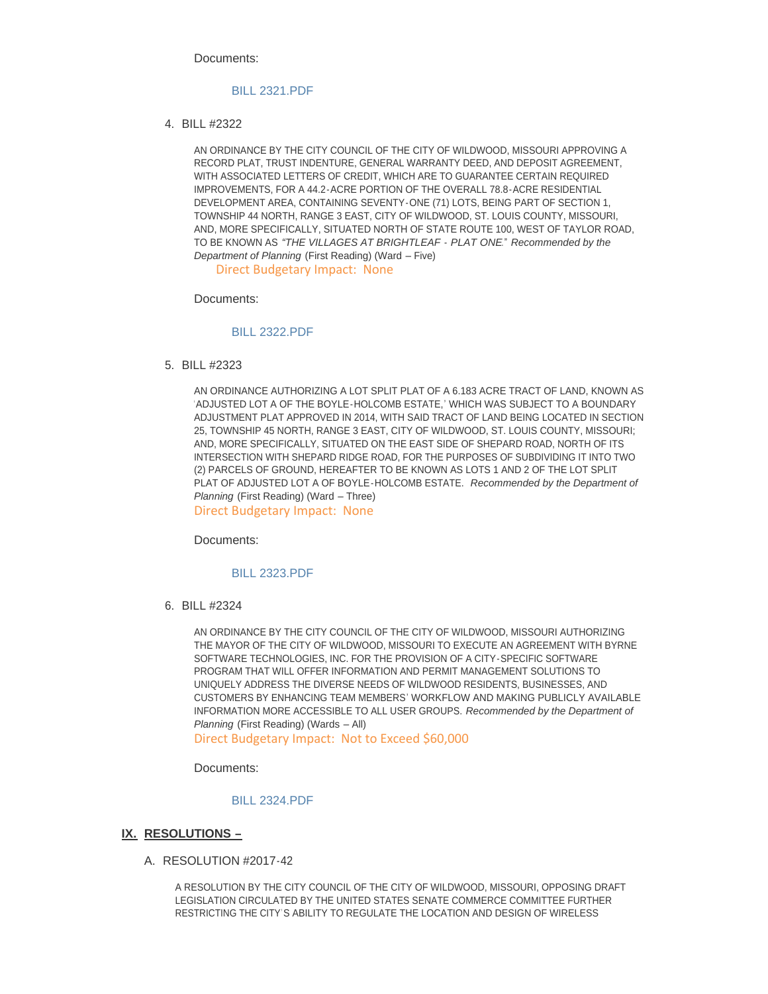Documents:

#### [BILL 2321.PDF](http://mo-wildwood.civicplus.com/AgendaCenter/ViewFile/Item/13200?fileID=19033)

BILL #2322 4.

AN ORDINANCE BY THE CITY COUNCIL OF THE CITY OF WILDWOOD, MISSOURI APPROVING A RECORD PLAT, TRUST INDENTURE, GENERAL WARRANTY DEED, AND DEPOSIT AGREEMENT, WITH ASSOCIATED LETTERS OF CREDIT, WHICH ARE TO GUARANTEE CERTAIN REQUIRED IMPROVEMENTS, FOR A 44.2-ACRE PORTION OF THE OVERALL 78.8-ACRE RESIDENTIAL DEVELOPMENT AREA, CONTAINING SEVENTY-ONE (71) LOTS, BEING PART OF SECTION 1, TOWNSHIP 44 NORTH, RANGE 3 EAST, CITY OF WILDWOOD, ST. LOUIS COUNTY, MISSOURI, AND, MORE SPECIFICALLY, SITUATED NORTH OF STATE ROUTE 100, WEST OF TAYLOR ROAD, TO BE KNOWN AS *"THE VILLAGES AT BRIGHTLEAF - PLAT ONE*." *Recommended by the Department of Planning* (First Reading) (Ward – Five)

Direct Budgetary Impact: None

Documents:

#### [BILL 2322.PDF](http://mo-wildwood.civicplus.com/AgendaCenter/ViewFile/Item/13201?fileID=19034)

BILL #2323 5.

AN ORDINANCE AUTHORIZING A LOT SPLIT PLAT OF A 6.183 ACRE TRACT OF LAND, KNOWN AS 'ADJUSTED LOT A OF THE BOYLE-HOLCOMB ESTATE,' WHICH WAS SUBJECT TO A BOUNDARY ADJUSTMENT PLAT APPROVED IN 2014, WITH SAID TRACT OF LAND BEING LOCATED IN SECTION 25, TOWNSHIP 45 NORTH, RANGE 3 EAST, CITY OF WILDWOOD, ST. LOUIS COUNTY, MISSOURI; AND, MORE SPECIFICALLY, SITUATED ON THE EAST SIDE OF SHEPARD ROAD, NORTH OF ITS INTERSECTION WITH SHEPARD RIDGE ROAD, FOR THE PURPOSES OF SUBDIVIDING IT INTO TWO (2) PARCELS OF GROUND, HEREAFTER TO BE KNOWN AS LOTS 1 AND 2 OF THE LOT SPLIT PLAT OF ADJUSTED LOT A OF BOYLE-HOLCOMB ESTATE. *Recommended by the Department of Planning* (First Reading) (Ward – Three)

Direct Budgetary Impact: None

Documents:

#### [BILL 2323.PDF](http://mo-wildwood.civicplus.com/AgendaCenter/ViewFile/Item/13202?fileID=19035)

BILL #2324 6.

AN ORDINANCE BY THE CITY COUNCIL OF THE CITY OF WILDWOOD, MISSOURI AUTHORIZING THE MAYOR OF THE CITY OF WILDWOOD, MISSOURI TO EXECUTE AN AGREEMENT WITH BYRNE SOFTWARE TECHNOLOGIES, INC. FOR THE PROVISION OF A CITY-SPECIFIC SOFTWARE PROGRAM THAT WILL OFFER INFORMATION AND PERMIT MANAGEMENT SOLUTIONS TO UNIQUELY ADDRESS THE DIVERSE NEEDS OF WILDWOOD RESIDENTS, BUSINESSES, AND CUSTOMERS BY ENHANCING TEAM MEMBERS' WORKFLOW AND MAKING PUBLICLY AVAILABLE INFORMATION MORE ACCESSIBLE TO ALL USER GROUPS. *Recommended by the Department of Planning* (First Reading) (Wards – All)

Direct Budgetary Impact: Not to Exceed \$60,000

Documents:

#### [BILL 2324.PDF](http://mo-wildwood.civicplus.com/AgendaCenter/ViewFile/Item/13203?fileID=19036)

#### **RESOLUTIONS – IX.**

A. RESOLUTION #2017-42

A RESOLUTION BY THE CITY COUNCIL OF THE CITY OF WILDWOOD, MISSOURI, OPPOSING DRAFT LEGISLATION CIRCULATED BY THE UNITED STATES SENATE COMMERCE COMMITTEE FURTHER RESTRICTING THE CITY'S ABILITY TO REGULATE THE LOCATION AND DESIGN OF WIRELESS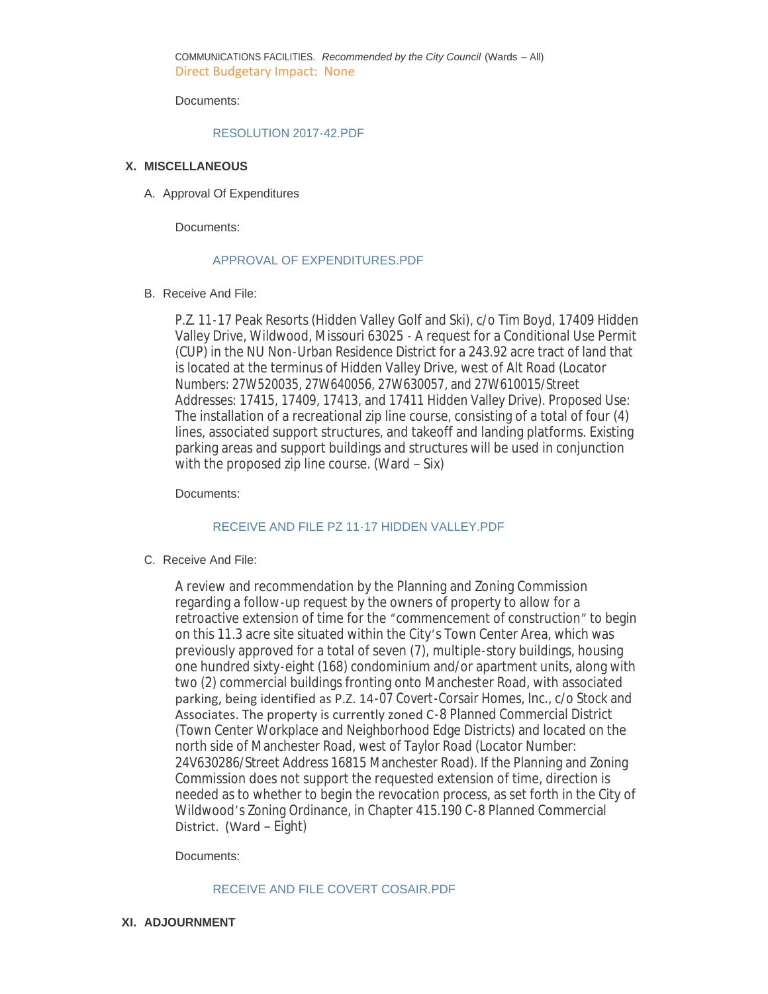COMMUNICATIONS FACILITIES. *Recommended by the City Council* (Wards – All) Direct Budgetary Impact: None

Documents:

#### [RESOLUTION 2017-42.PDF](http://mo-wildwood.civicplus.com/AgendaCenter/ViewFile/Item/13205?fileID=19037)

## **MISCELLANEOUS X.**

A. Approval Of Expenditures

Documents:

#### [APPROVAL OF EXPENDITURES.PDF](http://mo-wildwood.civicplus.com/AgendaCenter/ViewFile/Item/13207?fileID=19038)

#### B. Receive And File:

P.Z. 11-17 Peak Resorts (Hidden Valley Golf and Ski), c/o Tim Boyd, 17409 Hidden Valley Drive, Wildwood, Missouri 63025 - A request for a Conditional Use Permit (CUP) in the NU Non-Urban Residence District for a 243.92 acre tract of land that is located at the terminus of Hidden Valley Drive, west of Alt Road (Locator Numbers: 27W520035, 27W640056, 27W630057, and 27W610015/Street Addresses: 17415, 17409, 17413, and 17411 Hidden Valley Drive). Proposed Use: The installation of a recreational zip line course, consisting of a total of four (4) lines, associated support structures, and takeoff and landing platforms. Existing parking areas and support buildings and structures will be used in conjunction with the proposed zip line course. (Ward – Six)

Documents:

## [RECEIVE AND FILE PZ 11-17 HIDDEN VALLEY.PDF](http://mo-wildwood.civicplus.com/AgendaCenter/ViewFile/Item/13208?fileID=19039)

C. Receive And File:

A review and recommendation by the Planning and Zoning Commission regarding a follow-up request by the owners of property to allow for a retroactive extension of time for the "commencement of construction" to begin on this 11.3 acre site situated within the City's Town Center Area, which was previously approved for a total of seven (7), multiple-story buildings, housing one hundred sixty-eight (168) condominium and/or apartment units, along with two (2) commercial buildings fronting onto Manchester Road, with associated parking, being identified as P.Z. 14-07 Covert-Corsair Homes, Inc., c/o Stock and Associates. The property is currently zoned C-8 Planned Commercial District (Town Center Workplace and Neighborhood Edge Districts) and located on the north side of Manchester Road, west of Taylor Road (Locator Number: 24V630286/Street Address 16815 Manchester Road). If the Planning and Zoning Commission does not support the requested extension of time, direction is needed as to whether to begin the revocation process, as set forth in the City of Wildwood's Zoning Ordinance, in Chapter 415.190 C-8 Planned Commercial District. (Ward – Eight)

Documents:

## [RECEIVE AND FILE COVERT COSAIR.PDF](http://mo-wildwood.civicplus.com/AgendaCenter/ViewFile/Item/13209?fileID=19040)